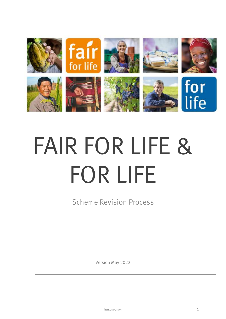

# FAIR FOR LIFE & FOR LIFE

Scheme Revision Process

Version May 2022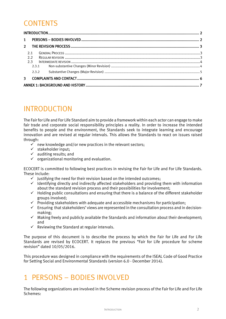#### **CONTENTS**

| $\mathbf{1}$  |       |  |  |  |
|---------------|-------|--|--|--|
| $\mathcal{P}$ |       |  |  |  |
| 2.1           |       |  |  |  |
|               | 2.2   |  |  |  |
|               | 2.3   |  |  |  |
|               | 2.3.1 |  |  |  |
|               | 2.3.2 |  |  |  |
| 3.            |       |  |  |  |
|               |       |  |  |  |

# <span id="page-1-0"></span>INTRODUCTION

The Fair for Life and For Life Standard aim to provide a framework within each actor can engage to make fair trade and corporate social responsibility principles a reality. In order to increase the intended benefits to people and the environment, the Standards seek to integrate learning and encourage innovation and are revised at regular intervals. This allows the Standards to react on issues raised through:

- $\checkmark$  new knowledge and/or new practices in the relevant sectors;
- $\checkmark$  stakeholder input;
- $\checkmark$  auditing results; and
- $\checkmark$  organizational monitoring and evaluation.

ECOCERT is committed to following best practices in revising the Fair for Life and For Life Standards. These include:

- $\checkmark$  Justifying the need for their revision based on the intended outcomes;
- $\checkmark$  Identifying directly and indirectly affected stakeholders and providing them with information about the standard revision process and their possibilities for involvement;
- $\checkmark$  Holding public consultations and ensuring that there is a balance of the different stakeholder groups involved;
- $\checkmark$  Providing stakeholders with adequate and accessible mechanisms for participation;
- $\checkmark$  Ensuring that stakeholders' views are represented in the consultation process and in decisionmaking;
- $\checkmark$  Making freely and publicly available the Standards and information about their development; and
- $\checkmark$  Reviewing the Standard at regular intervals.

The purpose of this document is to describe the process by which the Fair for Life and For Life Standards are revised by ECOCERT. It replaces the previous "Fair for Life procedure for scheme revision" dated 10/05/2016.

This procedure was designed in compliance with the requirements of the ISEAL Code of Good Practice for Setting Social and Environmental Standards (version 6.0 - December 2014).

### <span id="page-1-1"></span>1 PERSONS – BODIES INVOLVED

The following organizations are involved in the Scheme revision process of the Fair for Life and For Life Schemes: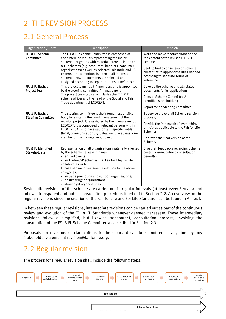# <span id="page-2-0"></span>2 THE REVISION PROCESS

## <span id="page-2-1"></span>2.1 General Process

| Organization / Body                            | Description                                                                                                                                                                                                                                                                                                                                                                                                                | <b>Mission</b>                                                                                                                                                                                                       |
|------------------------------------------------|----------------------------------------------------------------------------------------------------------------------------------------------------------------------------------------------------------------------------------------------------------------------------------------------------------------------------------------------------------------------------------------------------------------------------|----------------------------------------------------------------------------------------------------------------------------------------------------------------------------------------------------------------------|
| FFL & FL Scheme<br>Committee                   | The FFL & FL Scheme Committee is composed of<br>appointed individuals representing the major<br>stakeholder groups with material interests in the FFL<br>& FL schemes (e.g. producers, handlers, consumer<br>organisations) as well as selected Fair Trade and CSR<br>experts. The committee is open to all interested<br>stakeholders, but members are selected and<br>assigned according to separate Terms of Reference. | Work and make recommendations on<br>the content of the revised FFL & FL<br>schemes:<br>Seek to find a consensus on scheme<br>content, with appropriate rules defined<br>according to separate Terms of<br>Reference. |
| FFL & FL Revision<br><b>Project Team</b>       | This project team has 3-4 members and is appointed<br>by the steering committee / management.<br>The project team typically includes the FFFL & FL<br>scheme officer and the head of the Social and Fair<br>Trade department of ECOCERT.                                                                                                                                                                                   | Develop the scheme and all related<br>documents for its application;<br>Consult Scheme Committee &<br>Identified stakeholders;<br>Report to the Steering Committee.                                                  |
| FFL & FL Revision<br><b>Steering Committee</b> | The steering committee is the internal responsible<br>body for ensuring the good management of the<br>revision project. It is assigned by the management of<br>ECOCERT. It is composed of relevant persons within<br>ECOCERT SA, who have authority in specific fields<br>(legal, communication); it shall include at least one<br>member of the management board.                                                         | Supervise the overall Scheme revision<br>process;<br>Provide the framework of overarching<br>principles applicable to the Fair for Life<br>Scheme;<br>Approves the final version of the<br>Scheme.                   |
| FFL & FL Identified<br><b>Stakeholders</b>     | Representation of all organisations materially affected<br>by the scheme i.e. as a minimum:<br>- Certified clients;<br>- Fair Trade/CSR schemes that Fair for Life/For Life<br>collaborates with.<br>In case of a major revision, in addition to the above<br>categories:<br>- Fair trade promotion and support organisations;<br>- Consumer right organisations;<br>- Labour right organisations.                         | Give their feedbacks regarding Scheme<br>content during defined consultation<br>period(s).                                                                                                                           |

Systematic revisions of the scheme are carried out in regular intervals (at least every 5 years) and follow a transparent and public consultation procedure, lined out in Section [2.2.](#page-2-2) An overview on the regular revisions since the creation of the Fair for Life and For Life Standards can be found in Annex I.

In between these regular revisions, intermediate revisions can be carried out as part of the continuous review and evolution of the FFL & FL Standards whenever deemed necessary. These intermediary revisions follow a simplified, but likewise transparent, consultation process, involving the consultation of the FFL & FL Scheme Committee as described in Section [2.3.](#page-3-0)

Proposals for revisions or clarifications to the standard can be submitted at any time by any stakeholder via email a[t revision@fairforlife.org.](mailto:revision@fairforlife.org)

### <span id="page-2-2"></span>2.2 Regular revision

The process for a regular revision shall include the following steps:

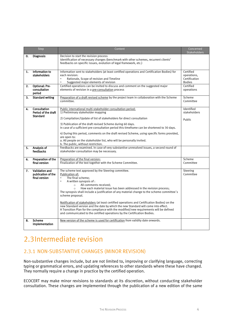|    | Step                                                          | Content                                                                                                                                                                                                                                                                                                                                                                                                                                                                                                                                                                                                                                                                                                                                              | Concerned<br><b>Stakeholders</b>                           |
|----|---------------------------------------------------------------|------------------------------------------------------------------------------------------------------------------------------------------------------------------------------------------------------------------------------------------------------------------------------------------------------------------------------------------------------------------------------------------------------------------------------------------------------------------------------------------------------------------------------------------------------------------------------------------------------------------------------------------------------------------------------------------------------------------------------------------------------|------------------------------------------------------------|
| 0. | <b>Diagnosis</b>                                              | Decision to start the revision process<br>Identification of necessary changes (benchmark with other schemes, recurrent clients'<br>feedbacks on specific issues, evolution of legal framework, etc.)                                                                                                                                                                                                                                                                                                                                                                                                                                                                                                                                                 |                                                            |
| 1. | Information to<br>stakeholders                                | Information sent to stakeholders (at least certified operations and Certification Bodies) for<br>each revision:<br>Rationale, Scope of revision and Timeline<br>$\blacksquare$<br>Suggested major elements of revision<br>×,                                                                                                                                                                                                                                                                                                                                                                                                                                                                                                                         | Certified<br>operations.<br>Certification<br><b>Bodies</b> |
| 2. | <b>Optional: Pre-</b><br>consultation<br>period               | Certified operations can be invited to discuss and comment on the suggested major<br>elements of revision in a pre-consultation process                                                                                                                                                                                                                                                                                                                                                                                                                                                                                                                                                                                                              | Certified<br>operations                                    |
| 3. | <b>Standard writing</b>                                       | Preparation of a draft revised scheme by the project team in collaboration with the Scheme<br>committee.                                                                                                                                                                                                                                                                                                                                                                                                                                                                                                                                                                                                                                             | Scheme<br>Committee                                        |
| 4. | <b>Consultation</b><br>Period of the draft<br><b>Standard</b> | Public international multi-stakeholder consultation period:<br>1) Preliminary stakeholder mapping<br>2) Compilation/Update of list of stakeholders for direct consultation<br>3) Publication of the draft revised Scheme during 60 days.<br>In case of a sufficient pre-consultation period this timeframe can be shortened to 30 days.<br>4) During this period, comments on the draft revised Scheme, using specific forms provided,<br>are open to:<br>a. All people on the stakeholder list, who will be personally invited.<br>b. The public, without restriction.                                                                                                                                                                              | Identified<br>stakeholders<br>Public                       |
| 5. | Analysis of<br>feedbacks                                      | Feedbacks are examined. In case of very substantive unresolved issues, a second round of<br>stakeholder consultation may be necessary.                                                                                                                                                                                                                                                                                                                                                                                                                                                                                                                                                                                                               |                                                            |
| 6. | Preparation of the<br>final version                           | Preparation of the final version:<br>Finalization of the text together with the Scheme Committee.                                                                                                                                                                                                                                                                                                                                                                                                                                                                                                                                                                                                                                                    | Scheme<br>Committee                                        |
| 7. | <b>Validation and</b><br>publication of the<br>final version  | The scheme text approved by the Steering committee.<br>Publication of:<br>The final scheme:<br>٠<br>$\blacksquare$<br>A written synopsis of:<br>All comments received:<br>$\circ$<br>How each material issue has been addressed in the revision process;<br>$\circ$<br>The synopsis shall include a justification of any material change to the scheme committee's<br>scheme proposal.<br>Notification of stakeholders (at least certified operations and Certification Bodies) on the<br>new Standard version and the date by which the new Standard will come into effect.<br>A Transition Plan for the compliance with the modified/new requirements will be defined<br>and communicated to the certified operations by the Certification Bodies. | Steering<br>Committee                                      |
| 8. | Scheme<br>implementation                                      | New version of the scheme is used for certification from validity date onwards.                                                                                                                                                                                                                                                                                                                                                                                                                                                                                                                                                                                                                                                                      |                                                            |

# <span id="page-3-0"></span>2.3Intermediate revision

#### <span id="page-3-1"></span>2.3.1 NON-SUBSTANTIVE CHANGES (MINOR REVISION)

Non-substantive changes include, but are not limited to, improving or clarifying language, correcting typing or grammatical errors, and updating references to other standards where these have changed. They normally require a change in practice by the certified operation.

ECOCERT may make minor revisions to standards at its discretion, without conducting stakeholder consultation. These changes are implemented through the publication of a new edition of the same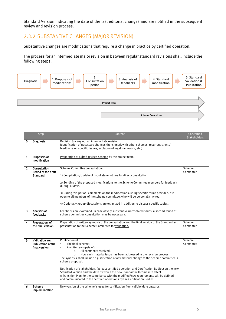Standard Version indicating the date of the last editorial changes and are notified in the subsequent review and revision process.

#### <span id="page-4-0"></span>2.3.2 SUBSTANTIVE CHANGES (MAJOR REVISION)

Substantive changes are modifications that require a change in practice by certified operation.

The process for an intermediate major revision in between regular standard revisions shall include the following steps:



|    | Step                                                         | Content                                                                                                                                                                                                                                                                                                                                                                                                                                                                                                                                                                                                                                                              | Concerned<br>Stakeholders |
|----|--------------------------------------------------------------|----------------------------------------------------------------------------------------------------------------------------------------------------------------------------------------------------------------------------------------------------------------------------------------------------------------------------------------------------------------------------------------------------------------------------------------------------------------------------------------------------------------------------------------------------------------------------------------------------------------------------------------------------------------------|---------------------------|
| 0. | <b>Diagnosis</b>                                             | Decision to carry out an intermediate revision<br>Identification of necessary changes (benchmark with other schemes, recurrent clients'<br>feedbacks on specific issues, evolution of legal framework, etc.)                                                                                                                                                                                                                                                                                                                                                                                                                                                         |                           |
| 1. | Proposals of<br>modification                                 | Preparation of a draft revised scheme by the project team.                                                                                                                                                                                                                                                                                                                                                                                                                                                                                                                                                                                                           |                           |
| 2. | Consultation<br>Period of the draft<br><b>Standard</b>       | <b>Scheme Committee consultation:</b><br>1) Compilation/Update of list of stakeholders for direct consultation<br>2) Sending of the proposed modifications to the Scheme Committee members for feedback<br>during 30 days.<br>3) During this period, comments on the modifications, using specific forms provided, are<br>open to all members of the scheme committee, who will be personally invited.<br>4) Optionally, group discussions are organized in addition to discuss specific topics.                                                                                                                                                                     | Scheme<br>Committee       |
| 3. | Analysis of<br>feedbacks                                     | Feedbacks are examined. In case of very substantive unresolved issues, a second round of<br>scheme committee consultation may be necessary.                                                                                                                                                                                                                                                                                                                                                                                                                                                                                                                          |                           |
| 4. | Preparation of<br>the final version                          | Preparation of written synopsis of the consultation and the final version of the Standard and<br>presentation to the Scheme Committee for validation.                                                                                                                                                                                                                                                                                                                                                                                                                                                                                                                | Scheme<br>Committee       |
| 5. | Validation and<br><b>Publication of the</b><br>final version | Publication of:<br>The final scheme:<br>٠<br>A written synopsis of:<br>٠<br>All comments received;<br>$\circ$<br>How each material issue has been addressed in the revision process;<br>The synopsis shall include a justification of any material change to the scheme committee's<br>scheme proposal.<br>Notification of stakeholders (at least certified operation and Certification Bodies) on the new<br>Standard version and the date by which the new Standard will come into effect.<br>A Transition Plan for the compliance with the modified/new requirements will be defined<br>and communicated to the certified operations by the Certification Bodies. | Scheme<br>Committee       |
| 6. | <b>Scheme</b><br>implementation                              | New version of the scheme is used for certification from validity date onwards.                                                                                                                                                                                                                                                                                                                                                                                                                                                                                                                                                                                      |                           |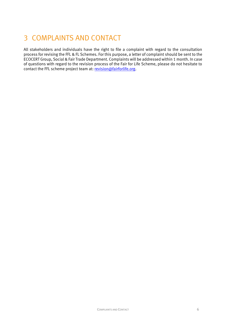# <span id="page-5-0"></span>3 COMPLAINTS AND CONTACT

All stakeholders and individuals have the right to file a complaint with regard to the consultation process for revising the FFL & FL Schemes. For this purpose, a letter of complaint should be sent to the ECOCERT Group, Social & Fair Trade Department. Complaints will be addressed within 1 month. In case of questions with regard to the revision process of the Fair for Life Scheme, please do not hesitate to contact the FFL scheme project team at: [revision@fairforlife.org.](mailto:revision@fairforlife.org)